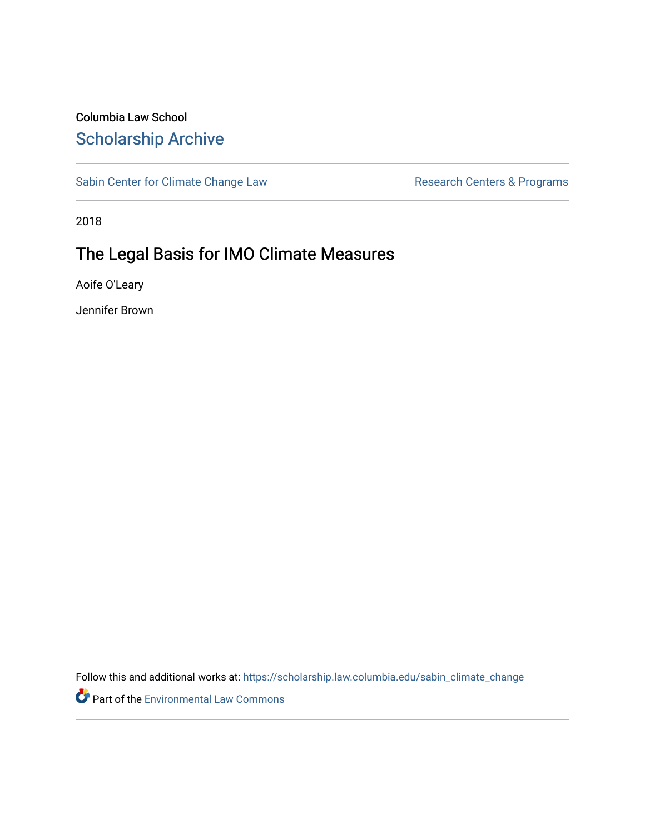# Columbia Law School [Scholarship Archive](https://scholarship.law.columbia.edu/)

[Sabin Center for Climate Change Law](https://scholarship.law.columbia.edu/sabin_climate_change) Research Centers & Programs

2018

# The Legal Basis for IMO Climate Measures

Aoife O'Leary

Jennifer Brown

Follow this and additional works at: [https://scholarship.law.columbia.edu/sabin\\_climate\\_change](https://scholarship.law.columbia.edu/sabin_climate_change?utm_source=scholarship.law.columbia.edu%2Fsabin_climate_change%2F79&utm_medium=PDF&utm_campaign=PDFCoverPages) 

Part of the [Environmental Law Commons](http://network.bepress.com/hgg/discipline/599?utm_source=scholarship.law.columbia.edu%2Fsabin_climate_change%2F79&utm_medium=PDF&utm_campaign=PDFCoverPages)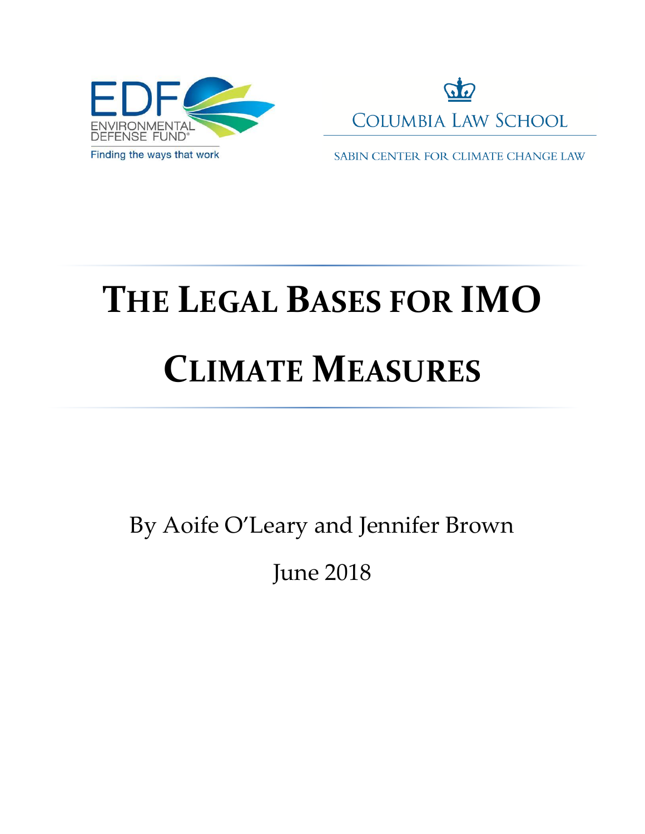



SABIN CENTER FOR CLIMATE CHANGE LAW

# **THE LEGAL BASES FOR IMO CLIMATE MEASURES**

By Aoife O'Leary and Jennifer Brown

June 2018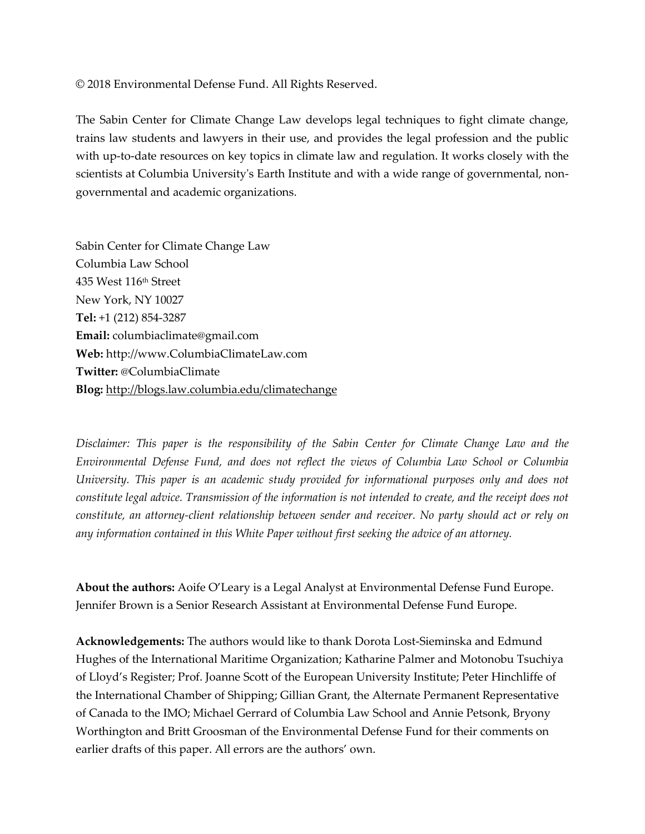© 2018 Environmental Defense Fund. All Rights Reserved.

The Sabin Center for Climate Change Law develops legal techniques to fight climate change, trains law students and lawyers in their use, and provides the legal profession and the public with up-to-date resources on key topics in climate law and regulation. It works closely with the scientists at Columbia University's Earth Institute and with a wide range of governmental, nongovernmental and academic organizations.

Sabin Center for Climate Change Law Columbia Law School 435 West 116th Street New York, NY 10027 **Tel:** +1 (212) 854-3287 **Email:** columbiaclimate@gmail.com **Web:** http://www.ColumbiaClimateLaw.com **Twitter:** @ColumbiaClimate **Blog:** <http://blogs.law.columbia.edu/climatechange>

*Disclaimer: This paper is the responsibility of the Sabin Center for Climate Change Law and the Environmental Defense Fund, and does not reflect the views of Columbia Law School or Columbia University. This paper is an academic study provided for informational purposes only and does not constitute legal advice. Transmission of the information is not intended to create, and the receipt does not constitute, an attorney-client relationship between sender and receiver. No party should act or rely on any information contained in this White Paper without first seeking the advice of an attorney.* 

**About the authors:** Aoife O'Leary is a Legal Analyst at Environmental Defense Fund Europe. Jennifer Brown is a Senior Research Assistant at Environmental Defense Fund Europe.

**Acknowledgements:** The authors would like to thank Dorota Lost-Sieminska and Edmund Hughes of the International Maritime Organization; Katharine Palmer and Motonobu Tsuchiya of Lloyd's Register; Prof. Joanne Scott of the European University Institute; Peter Hinchliffe of the International Chamber of Shipping; Gillian Grant, the Alternate Permanent Representative of Canada to the IMO; Michael Gerrard of Columbia Law School and Annie Petsonk, Bryony Worthington and Britt Groosman of the Environmental Defense Fund for their comments on earlier drafts of this paper. All errors are the authors' own.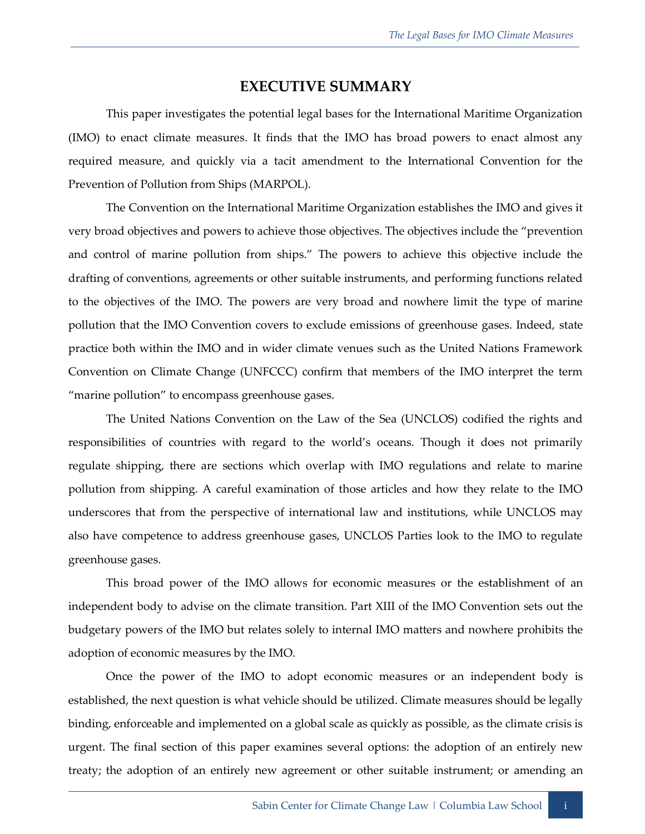#### **EXECUTIVE SUMMARY**

This paper investigates the potential legal bases for the International Maritime Organization (IMO) to enact climate measures. It finds that the IMO has broad powers to enact almost any required measure, and quickly via a tacit amendment to the International Convention for the Prevention of Pollution from Ships (MARPOL).

The Convention on the International Maritime Organization establishes the IMO and gives it very broad objectives and powers to achieve those objectives. The objectives include the "prevention and control of marine pollution from ships." The powers to achieve this objective include the drafting of conventions, agreements or other suitable instruments, and performing functions related to the objectives of the IMO. The powers are very broad and nowhere limit the type of marine pollution that the IMO Convention covers to exclude emissions of greenhouse gases. Indeed, state practice both within the IMO and in wider climate venues such as the United Nations Framework Convention on Climate Change (UNFCCC) confirm that members of the IMO interpret the term "marine pollution" to encompass greenhouse gases.

The United Nations Convention on the Law of the Sea (UNCLOS) codified the rights and responsibilities of countries with regard to the world's oceans. Though it does not primarily regulate shipping, there are sections which overlap with IMO regulations and relate to marine pollution from shipping. A careful examination of those articles and how they relate to the IMO underscores that from the perspective of international law and institutions, while UNCLOS may also have competence to address greenhouse gases, UNCLOS Parties look to the IMO to regulate greenhouse gases.

This broad power of the IMO allows for economic measures or the establishment of an independent body to advise on the climate transition. Part XIII of the IMO Convention sets out the budgetary powers of the IMO but relates solely to internal IMO matters and nowhere prohibits the adoption of economic measures by the IMO.

Once the power of the IMO to adopt economic measures or an independent body is established, the next question is what vehicle should be utilized. Climate measures should be legally binding, enforceable and implemented on a global scale as quickly as possible, as the climate crisis is urgent. The final section of this paper examines several options: the adoption of an entirely new treaty; the adoption of an entirely new agreement or other suitable instrument; or amending an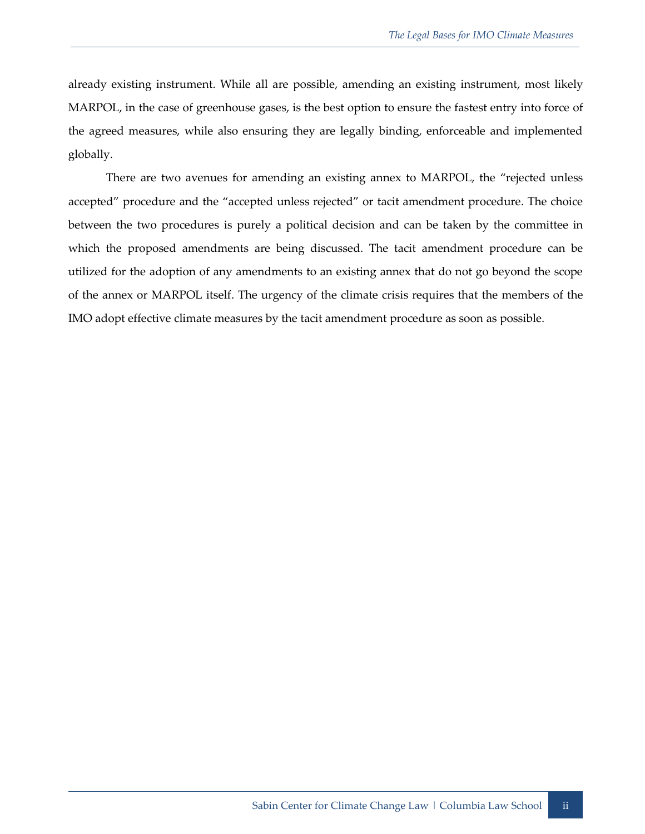already existing instrument. While all are possible, amending an existing instrument, most likely MARPOL, in the case of greenhouse gases, is the best option to ensure the fastest entry into force of the agreed measures, while also ensuring they are legally binding, enforceable and implemented globally.

There are two avenues for amending an existing annex to MARPOL, the "rejected unless accepted" procedure and the "accepted unless rejected" or tacit amendment procedure. The choice between the two procedures is purely a political decision and can be taken by the committee in which the proposed amendments are being discussed. The tacit amendment procedure can be utilized for the adoption of any amendments to an existing annex that do not go beyond the scope of the annex or MARPOL itself. The urgency of the climate crisis requires that the members of the IMO adopt effective climate measures by the tacit amendment procedure as soon as possible.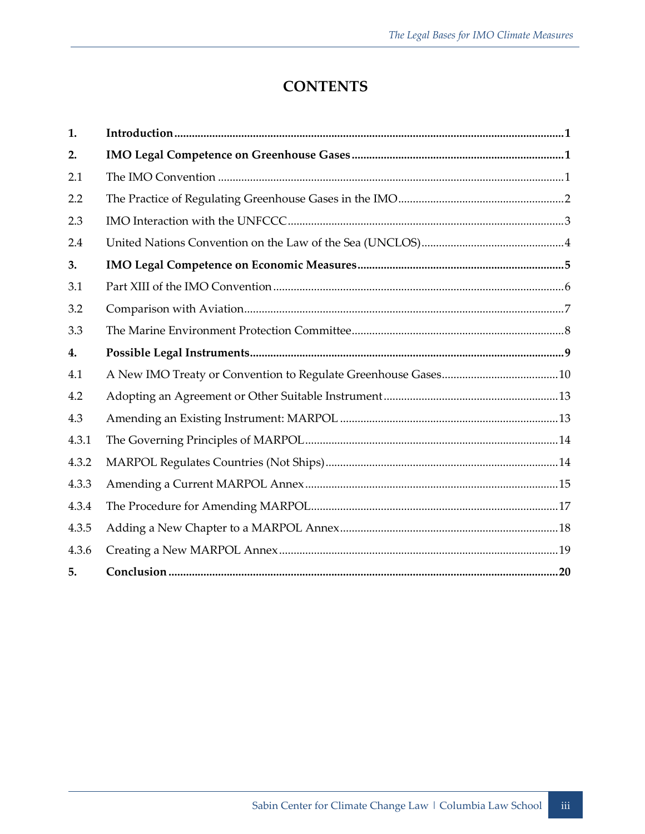## **CONTENTS**

| 1.    |  |
|-------|--|
| 2.    |  |
| 2.1   |  |
| 2.2   |  |
| 2.3   |  |
| 2.4   |  |
| 3.    |  |
| 3.1   |  |
| 3.2   |  |
| 3.3   |  |
| 4.    |  |
|       |  |
| 4.1   |  |
| 4.2   |  |
| 4.3   |  |
| 4.3.1 |  |
| 4.3.2 |  |
| 4.3.3 |  |
| 4.3.4 |  |
| 4.3.5 |  |
| 4.3.6 |  |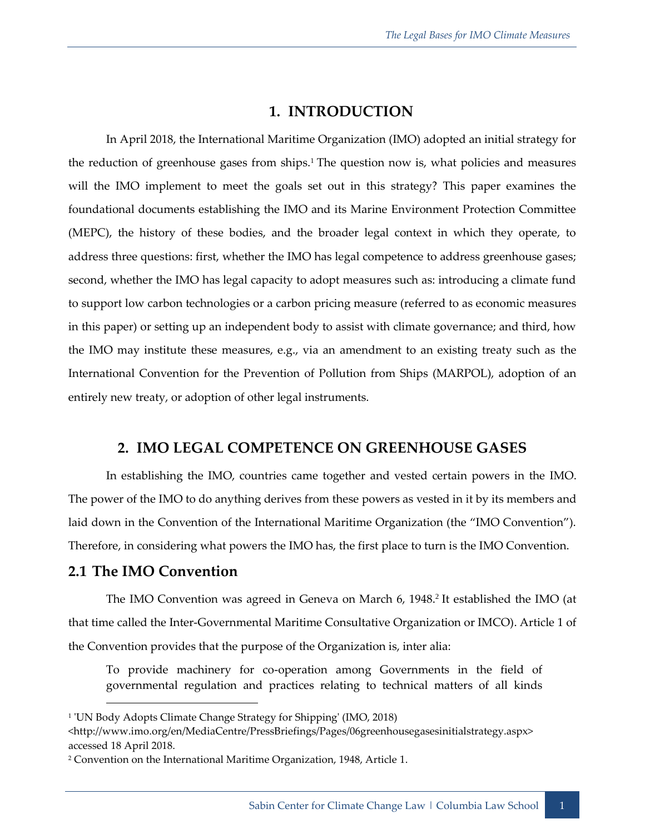## **1. INTRODUCTION**

In April 2018, the International Maritime Organization (IMO) adopted an initial strategy for the reduction of greenhouse gases from ships.<sup>1</sup> The question now is, what policies and measures will the IMO implement to meet the goals set out in this strategy? This paper examines the foundational documents establishing the IMO and its Marine Environment Protection Committee (MEPC), the history of these bodies, and the broader legal context in which they operate, to address three questions: first, whether the IMO has legal competence to address greenhouse gases; second, whether the IMO has legal capacity to adopt measures such as: introducing a climate fund to support low carbon technologies or a carbon pricing measure (referred to as economic measures in this paper) or setting up an independent body to assist with climate governance; and third, how the IMO may institute these measures, e.g., via an amendment to an existing treaty such as the International Convention for the Prevention of Pollution from Ships (MARPOL), adoption of an entirely new treaty, or adoption of other legal instruments.

## **2. IMO LEGAL COMPETENCE ON GREENHOUSE GASES**

In establishing the IMO, countries came together and vested certain powers in the IMO. The power of the IMO to do anything derives from these powers as vested in it by its members and laid down in the Convention of the International Maritime Organization (the "IMO Convention"). Therefore, in considering what powers the IMO has, the first place to turn is the IMO Convention.

#### **2.1 The IMO Convention**

The IMO Convention was agreed in Geneva on March 6, 1948.<sup>2</sup> It established the IMO (at that time called the Inter-Governmental Maritime Consultative Organization or IMCO). Article 1 of the Convention provides that the purpose of the Organization is, inter alia:

To provide machinery for co-operation among Governments in the field of governmental regulation and practices relating to technical matters of all kinds

<sup>1</sup> 'UN Body Adopts Climate Change Strategy for Shipping' (IMO, 2018)

<sup>&</sup>lt;http://www.imo.org/en/MediaCentre/PressBriefings/Pages/06greenhousegasesinitialstrategy.aspx> accessed 18 April 2018.

<sup>2</sup> Convention on the International Maritime Organization, 1948, Article 1.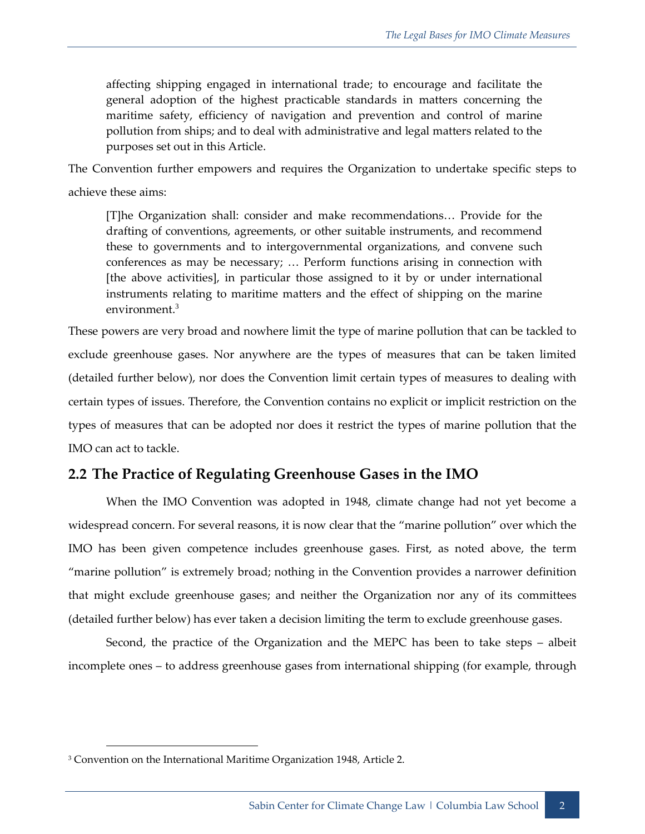affecting shipping engaged in international trade; to encourage and facilitate the general adoption of the highest practicable standards in matters concerning the maritime safety, efficiency of navigation and prevention and control of marine pollution from ships; and to deal with administrative and legal matters related to the purposes set out in this Article.

The Convention further empowers and requires the Organization to undertake specific steps to achieve these aims:

[T]he Organization shall: consider and make recommendations… Provide for the drafting of conventions, agreements, or other suitable instruments, and recommend these to governments and to intergovernmental organizations, and convene such conferences as may be necessary; … Perform functions arising in connection with [the above activities], in particular those assigned to it by or under international instruments relating to maritime matters and the effect of shipping on the marine environment. 3

These powers are very broad and nowhere limit the type of marine pollution that can be tackled to exclude greenhouse gases. Nor anywhere are the types of measures that can be taken limited (detailed further below), nor does the Convention limit certain types of measures to dealing with certain types of issues. Therefore, the Convention contains no explicit or implicit restriction on the types of measures that can be adopted nor does it restrict the types of marine pollution that the IMO can act to tackle.

## **2.2 The Practice of Regulating Greenhouse Gases in the IMO**

When the IMO Convention was adopted in 1948, climate change had not yet become a widespread concern. For several reasons, it is now clear that the "marine pollution" over which the IMO has been given competence includes greenhouse gases. First, as noted above, the term "marine pollution" is extremely broad; nothing in the Convention provides a narrower definition that might exclude greenhouse gases; and neither the Organization nor any of its committees (detailed further below) has ever taken a decision limiting the term to exclude greenhouse gases.

Second, the practice of the Organization and the MEPC has been to take steps – albeit incomplete ones – to address greenhouse gases from international shipping (for example, through

<sup>&</sup>lt;sup>3</sup> Convention on the International Maritime Organization 1948, Article 2.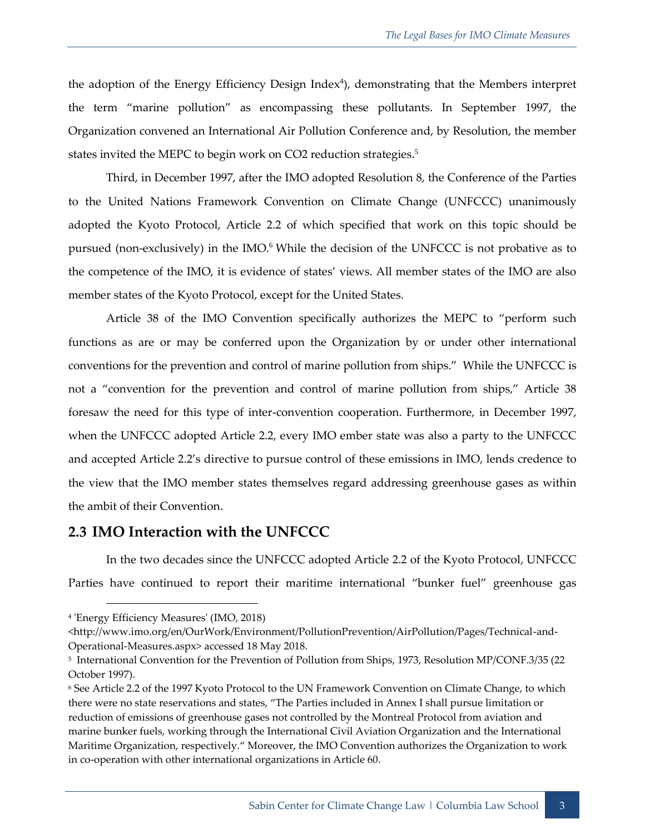the adoption of the Energy Efficiency Design Index 4 ), demonstrating that the Members interpret the term "marine pollution" as encompassing these pollutants. In September 1997, the Organization convened an International Air Pollution Conference and, by Resolution, the member states invited the MEPC to begin work on CO2 reduction strategies.<sup>5</sup>

Third, in December 1997, after the IMO adopted Resolution 8, the Conference of the Parties to the United Nations Framework Convention on Climate Change (UNFCCC) unanimously adopted the Kyoto Protocol, Article 2.2 of which specified that work on this topic should be pursued (non-exclusively) in the IMO.<sup>6</sup> While the decision of the UNFCCC is not probative as to the competence of the IMO, it is evidence of states' views. All member states of the IMO are also member states of the Kyoto Protocol, except for the United States.

Article 38 of the IMO Convention specifically authorizes the MEPC to "perform such functions as are or may be conferred upon the Organization by or under other international conventions for the prevention and control of marine pollution from ships." While the UNFCCC is not a "convention for the prevention and control of marine pollution from ships," Article 38 foresaw the need for this type of inter-convention cooperation. Furthermore, in December 1997, when the UNFCCC adopted Article 2.2, every IMO ember state was also a party to the UNFCCC and accepted Article 2.2's directive to pursue control of these emissions in IMO, lends credence to the view that the IMO member states themselves regard addressing greenhouse gases as within the ambit of their Convention.

#### **2.3 IMO Interaction with the UNFCCC**

In the two decades since the UNFCCC adopted Article 2.2 of the Kyoto Protocol, UNFCCC Parties have continued to report their maritime international "bunker fuel" greenhouse gas

<sup>4</sup> 'Energy Efficiency Measures' (IMO, 2018)

<sup>&</sup>lt;http://www.imo.org/en/OurWork/Environment/PollutionPrevention/AirPollution/Pages/Technical-and-Operational-Measures.aspx> accessed 18 May 2018.

<sup>5</sup> International Convention for the Prevention of Pollution from Ships, 1973, Resolution MP/CONF.3/35 (22 October 1997).

<sup>6</sup> See Article 2.2 of the 1997 Kyoto Protocol to the UN Framework Convention on Climate Change, to which there were no state reservations and states, "The Parties included in Annex I shall pursue limitation or reduction of emissions of greenhouse gases not controlled by the Montreal Protocol from aviation and marine bunker fuels, working through the International Civil Aviation Organization and the International Maritime Organization, respectively." Moreover, the IMO Convention authorizes the Organization to work in co-operation with other international organizations in Article 60.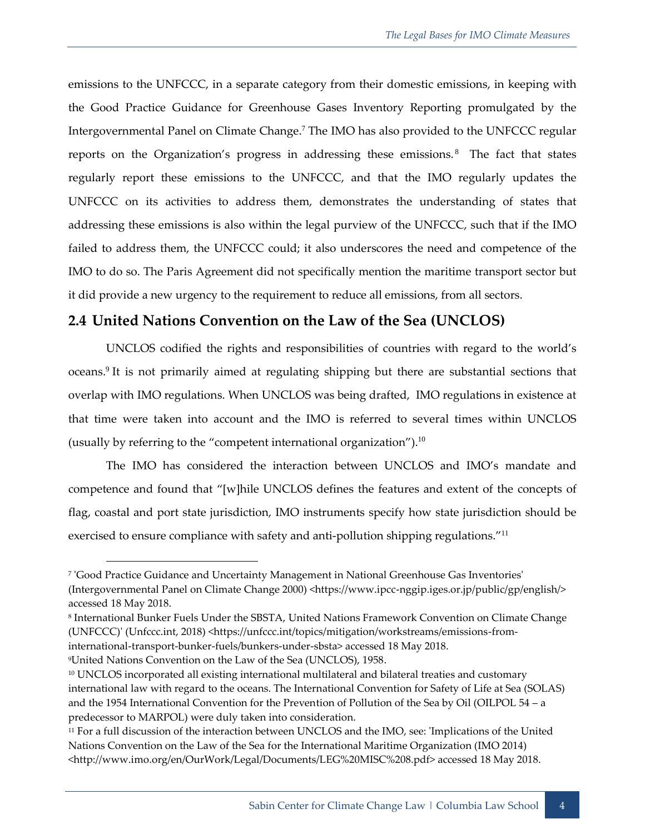emissions to the UNFCCC, in a separate category from their domestic emissions, in keeping with the Good Practice Guidance for Greenhouse Gases Inventory Reporting promulgated by the Intergovernmental Panel on Climate Change.<sup>7</sup> The IMO has also provided to the UNFCCC regular reports on the Organization's progress in addressing these emissions.<sup>8</sup> The fact that states regularly report these emissions to the UNFCCC, and that the IMO regularly updates the UNFCCC on its activities to address them, demonstrates the understanding of states that addressing these emissions is also within the legal purview of the UNFCCC, such that if the IMO failed to address them, the UNFCCC could; it also underscores the need and competence of the IMO to do so. The Paris Agreement did not specifically mention the maritime transport sector but it did provide a new urgency to the requirement to reduce all emissions, from all sectors.

## **2.4 United Nations Convention on the Law of the Sea (UNCLOS)**

UNCLOS codified the rights and responsibilities of countries with regard to the world's oceans.<sup>9</sup> It is not primarily aimed at regulating shipping but there are substantial sections that overlap with IMO regulations. When UNCLOS was being drafted, IMO regulations in existence at that time were taken into account and the IMO is referred to several times within UNCLOS (usually by referring to the "competent international organization"). $^{10}$ 

The IMO has considered the interaction between UNCLOS and IMO's mandate and competence and found that "[w]hile UNCLOS defines the features and extent of the concepts of flag, coastal and port state jurisdiction, IMO instruments specify how state jurisdiction should be exercised to ensure compliance with safety and anti-pollution shipping regulations."<sup>11</sup>

<sup>7</sup> 'Good Practice Guidance and Uncertainty Management in National Greenhouse Gas Inventories' (Intergovernmental Panel on Climate Change 2000) <https://www.ipcc-nggip.iges.or.jp/public/gp/english/> accessed 18 May 2018.

<sup>8</sup> International Bunker Fuels Under the SBSTA, United Nations Framework Convention on Climate Change (UNFCCC)' (Unfccc.int, 2018) <https://unfccc.int/topics/mitigation/workstreams/emissions-frominternational-transport-bunker-fuels/bunkers-under-sbsta> accessed 18 May 2018.

<sup>9</sup>United Nations Convention on the Law of the Sea (UNCLOS), 1958.

<sup>&</sup>lt;sup>10</sup> UNCLOS incorporated all existing international multilateral and bilateral treaties and customary international law with regard to the oceans. The International Convention for Safety of Life at Sea (SOLAS) and the 1954 International Convention for the Prevention of Pollution of the Sea by Oil (OILPOL 54 – a predecessor to MARPOL) were duly taken into consideration.

<sup>11</sup> For a full discussion of the interaction between UNCLOS and the IMO, see: 'Implications of the United Nations Convention on the Law of the Sea for the International Maritime Organization (IMO 2014) <http://www.imo.org/en/OurWork/Legal/Documents/LEG%20MISC%208.pdf> accessed 18 May 2018.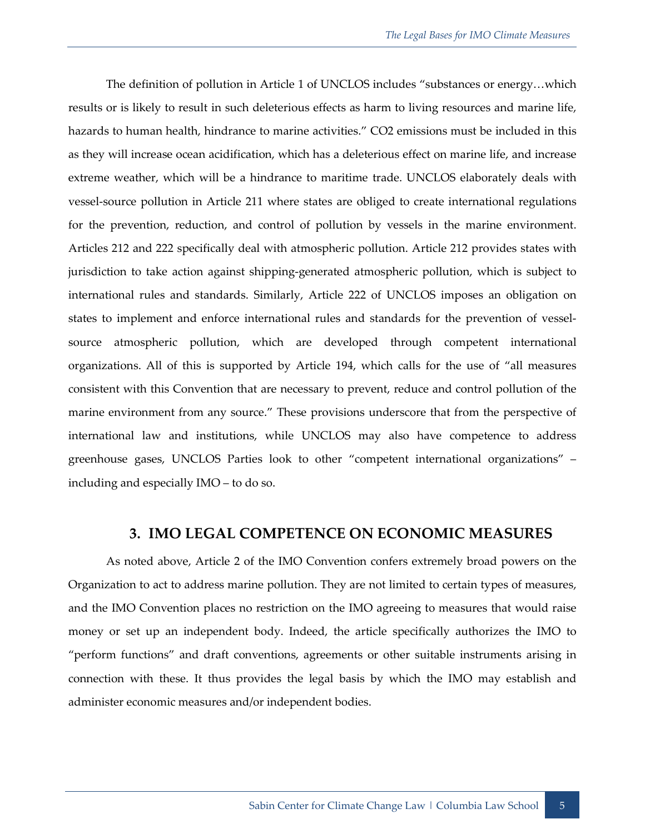The definition of pollution in Article 1 of UNCLOS includes "substances or energy…which results or is likely to result in such deleterious effects as harm to living resources and marine life, hazards to human health, hindrance to marine activities." CO2 emissions must be included in this as they will increase ocean acidification, which has a deleterious effect on marine life, and increase extreme weather, which will be a hindrance to maritime trade. UNCLOS elaborately deals with vessel-source pollution in Article 211 where states are obliged to create international regulations for the prevention, reduction, and control of pollution by vessels in the marine environment. Articles 212 and 222 specifically deal with atmospheric pollution. Article 212 provides states with jurisdiction to take action against shipping-generated atmospheric pollution, which is subject to international rules and standards. Similarly, Article 222 of UNCLOS imposes an obligation on states to implement and enforce international rules and standards for the prevention of vesselsource atmospheric pollution, which are developed through competent international organizations. All of this is supported by Article 194, which calls for the use of "all measures consistent with this Convention that are necessary to prevent, reduce and control pollution of the marine environment from any source." These provisions underscore that from the perspective of international law and institutions, while UNCLOS may also have competence to address greenhouse gases, UNCLOS Parties look to other "competent international organizations" – including and especially IMO – to do so.

#### **3. IMO LEGAL COMPETENCE ON ECONOMIC MEASURES**

As noted above, Article 2 of the IMO Convention confers extremely broad powers on the Organization to act to address marine pollution. They are not limited to certain types of measures, and the IMO Convention places no restriction on the IMO agreeing to measures that would raise money or set up an independent body. Indeed, the article specifically authorizes the IMO to "perform functions" and draft conventions, agreements or other suitable instruments arising in connection with these. It thus provides the legal basis by which the IMO may establish and administer economic measures and/or independent bodies.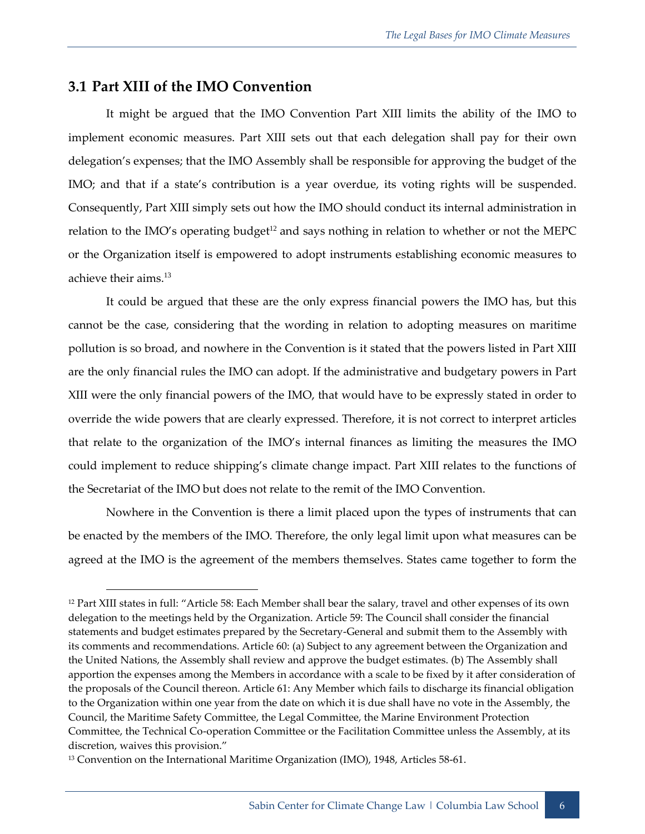## **3.1 Part XIII of the IMO Convention**

It might be argued that the IMO Convention Part XIII limits the ability of the IMO to implement economic measures. Part XIII sets out that each delegation shall pay for their own delegation's expenses; that the IMO Assembly shall be responsible for approving the budget of the IMO; and that if a state's contribution is a year overdue, its voting rights will be suspended. Consequently, Part XIII simply sets out how the IMO should conduct its internal administration in relation to the IMO's operating budget<sup>12</sup> and says nothing in relation to whether or not the MEPC or the Organization itself is empowered to adopt instruments establishing economic measures to achieve their aims.<sup>13</sup>

It could be argued that these are the only express financial powers the IMO has, but this cannot be the case, considering that the wording in relation to adopting measures on maritime pollution is so broad, and nowhere in the Convention is it stated that the powers listed in Part XIII are the only financial rules the IMO can adopt. If the administrative and budgetary powers in Part XIII were the only financial powers of the IMO, that would have to be expressly stated in order to override the wide powers that are clearly expressed. Therefore, it is not correct to interpret articles that relate to the organization of the IMO's internal finances as limiting the measures the IMO could implement to reduce shipping's climate change impact. Part XIII relates to the functions of the Secretariat of the IMO but does not relate to the remit of the IMO Convention.

Nowhere in the Convention is there a limit placed upon the types of instruments that can be enacted by the members of the IMO. Therefore, the only legal limit upon what measures can be agreed at the IMO is the agreement of the members themselves. States came together to form the

<sup>12</sup> Part XIII states in full: "Article 58: Each Member shall bear the salary, travel and other expenses of its own delegation to the meetings held by the Organization. Article 59: The Council shall consider the financial statements and budget estimates prepared by the Secretary-General and submit them to the Assembly with its comments and recommendations. Article 60: (a) Subject to any agreement between the Organization and the United Nations, the Assembly shall review and approve the budget estimates. (b) The Assembly shall apportion the expenses among the Members in accordance with a scale to be fixed by it after consideration of the proposals of the Council thereon. Article 61: Any Member which fails to discharge its financial obligation to the Organization within one year from the date on which it is due shall have no vote in the Assembly, the Council, the Maritime Safety Committee, the Legal Committee, the Marine Environment Protection Committee, the Technical Co-operation Committee or the Facilitation Committee unless the Assembly, at its discretion, waives this provision."

<sup>13</sup> Convention on the International Maritime Organization (IMO), 1948, Articles 58-61.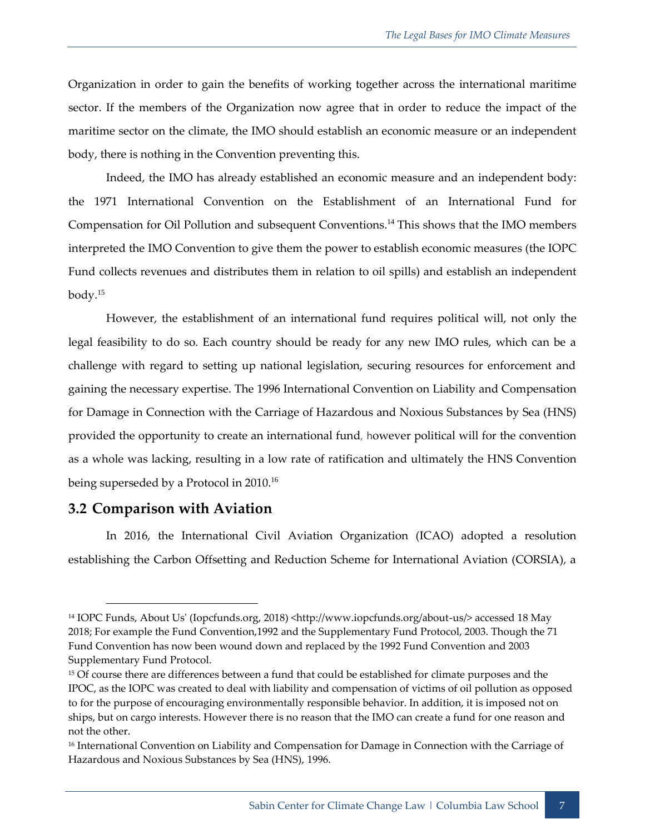Organization in order to gain the benefits of working together across the international maritime sector. If the members of the Organization now agree that in order to reduce the impact of the maritime sector on the climate, the IMO should establish an economic measure or an independent body, there is nothing in the Convention preventing this.

Indeed, the IMO has already established an economic measure and an independent body: the 1971 International Convention on the Establishment of an International Fund for Compensation for Oil Pollution and subsequent Conventions.<sup>14</sup> This shows that the IMO members interpreted the IMO Convention to give them the power to establish economic measures (the IOPC Fund collects revenues and distributes them in relation to oil spills) and establish an independent body. 15

However, the establishment of an international fund requires political will, not only the legal feasibility to do so. Each country should be ready for any new IMO rules, which can be a challenge with regard to setting up national legislation, securing resources for enforcement and gaining the necessary expertise. The 1996 International Convention on Liability and Compensation for Damage in Connection with the Carriage of Hazardous and Noxious Substances by Sea (HNS) provided the opportunity to create an international fund, however political will for the convention as a whole was lacking, resulting in a low rate of ratification and ultimately the HNS Convention being superseded by a Protocol in 2010.<sup>16</sup>

#### **3.2 Comparison with Aviation**

In 2016, the International Civil Aviation Organization (ICAO) adopted a resolution establishing the Carbon Offsetting and Reduction Scheme for International Aviation (CORSIA), a

<sup>&</sup>lt;sup>14</sup> IOPC Funds, About Us' (Iopcfunds.org, 2018) <http://www.iopcfunds.org/about-us/> accessed 18 May 2018; For example the Fund Convention,1992 and the Supplementary Fund Protocol, 2003. Though the 71 Fund Convention has now been wound down and replaced by the 1992 Fund Convention and 2003 Supplementary Fund Protocol.

<sup>&</sup>lt;sup>15</sup> Of course there are differences between a fund that could be established for climate purposes and the IPOC, as the IOPC was created to deal with liability and compensation of victims of oil pollution as opposed to for the purpose of encouraging environmentally responsible behavior. In addition, it is imposed not on ships, but on cargo interests. However there is no reason that the IMO can create a fund for one reason and not the other.

<sup>&</sup>lt;sup>16</sup> International Convention on Liability and Compensation for Damage in Connection with the Carriage of Hazardous and Noxious Substances by Sea (HNS), 1996.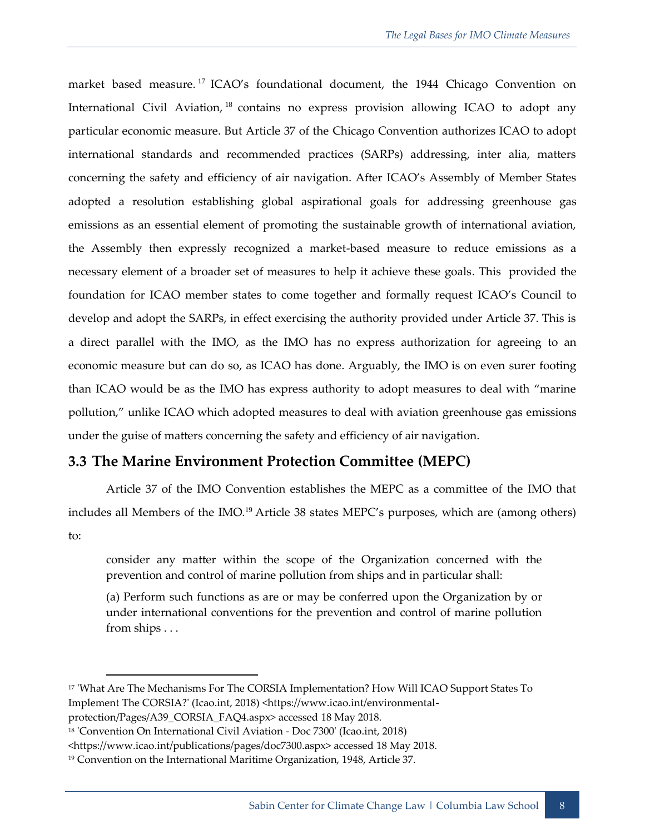market based measure.<sup>17</sup> ICAO's foundational document, the 1944 Chicago Convention on International Civil Aviation, <sup>18</sup> contains no express provision allowing ICAO to adopt any particular economic measure. But Article 37 of the Chicago Convention authorizes ICAO to adopt international standards and recommended practices (SARPs) addressing, inter alia, matters concerning the safety and efficiency of air navigation. After ICAO's Assembly of Member States adopted a resolution establishing global aspirational goals for addressing greenhouse gas emissions as an essential element of promoting the sustainable growth of international aviation, the Assembly then expressly recognized a market-based measure to reduce emissions as a necessary element of a broader set of measures to help it achieve these goals. This provided the foundation for ICAO member states to come together and formally request ICAO's Council to develop and adopt the SARPs, in effect exercising the authority provided under Article 37. This is a direct parallel with the IMO, as the IMO has no express authorization for agreeing to an economic measure but can do so, as ICAO has done. Arguably, the IMO is on even surer footing than ICAO would be as the IMO has express authority to adopt measures to deal with "marine pollution," unlike ICAO which adopted measures to deal with aviation greenhouse gas emissions under the guise of matters concerning the safety and efficiency of air navigation.

## **3.3 The Marine Environment Protection Committee (MEPC)**

Article 37 of the IMO Convention establishes the MEPC as a committee of the IMO that includes all Members of the IMO.<sup>19</sup> Article 38 states MEPC's purposes, which are (among others) to:

consider any matter within the scope of the Organization concerned with the prevention and control of marine pollution from ships and in particular shall:

(a) Perform such functions as are or may be conferred upon the Organization by or under international conventions for the prevention and control of marine pollution from ships . . .

<sup>&</sup>lt;sup>17</sup> 'What Are The Mechanisms For The CORSIA Implementation? How Will ICAO Support States To Implement The CORSIA?' (Icao.int, 2018) <https://www.icao.int/environmental-

protection/Pages/A39\_CORSIA\_FAQ4.aspx> accessed 18 May 2018.

<sup>18</sup> 'Convention On International Civil Aviation - Doc 7300' (Icao.int, 2018)

<sup>&</sup>lt;https://www.icao.int/publications/pages/doc7300.aspx> accessed 18 May 2018.

<sup>19</sup> Convention on the International Maritime Organization, 1948, Article 37.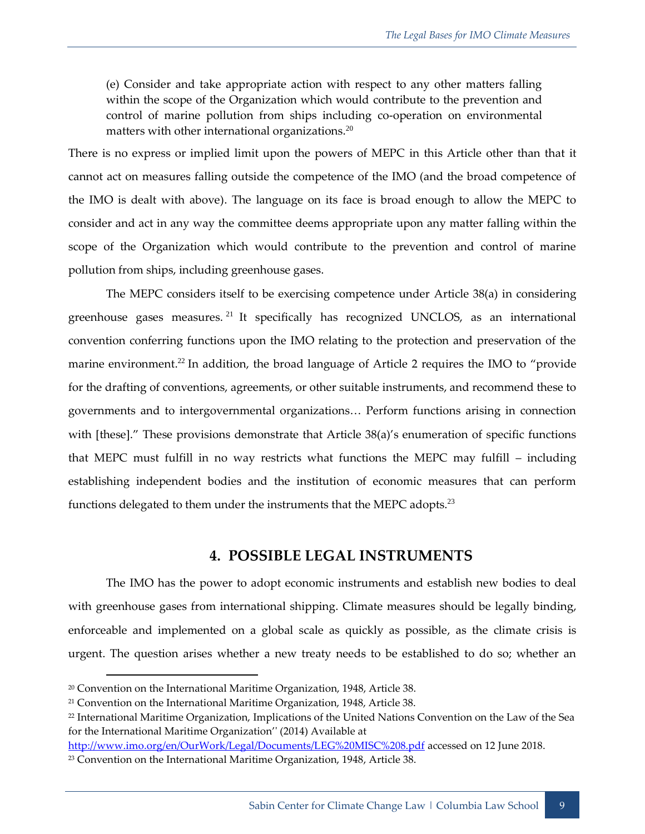(e) Consider and take appropriate action with respect to any other matters falling within the scope of the Organization which would contribute to the prevention and control of marine pollution from ships including co-operation on environmental matters with other international organizations. $20$ 

There is no express or implied limit upon the powers of MEPC in this Article other than that it cannot act on measures falling outside the competence of the IMO (and the broad competence of the IMO is dealt with above). The language on its face is broad enough to allow the MEPC to consider and act in any way the committee deems appropriate upon any matter falling within the scope of the Organization which would contribute to the prevention and control of marine pollution from ships, including greenhouse gases.

The MEPC considers itself to be exercising competence under Article 38(a) in considering greenhouse gases measures. <sup>21</sup> It specifically has recognized UNCLOS, as an international convention conferring functions upon the IMO relating to the protection and preservation of the marine environment.<sup>22</sup> In addition, the broad language of Article 2 requires the IMO to "provide for the drafting of conventions, agreements, or other suitable instruments, and recommend these to governments and to intergovernmental organizations… Perform functions arising in connection with [these]." These provisions demonstrate that Article 38(a)'s enumeration of specific functions that MEPC must fulfill in no way restricts what functions the MEPC may fulfill – including establishing independent bodies and the institution of economic measures that can perform functions delegated to them under the instruments that the MEPC adopts.<sup>23</sup>

#### **4. POSSIBLE LEGAL INSTRUMENTS**

The IMO has the power to adopt economic instruments and establish new bodies to deal with greenhouse gases from international shipping. Climate measures should be legally binding, enforceable and implemented on a global scale as quickly as possible, as the climate crisis is urgent. The question arises whether a new treaty needs to be established to do so; whether an

<http://www.imo.org/en/OurWork/Legal/Documents/LEG%20MISC%208.pdf> accessed on 12 June 2018.

<sup>&</sup>lt;sup>20</sup> Convention on the International Maritime Organization, 1948, Article 38.

<sup>21</sup> Convention on the International Maritime Organization, 1948, Article 38.

<sup>&</sup>lt;sup>22</sup> International Maritime Organization, Implications of the United Nations Convention on the Law of the Sea for the International Maritime Organization'' (2014) Available at

<sup>&</sup>lt;sup>23</sup> Convention on the International Maritime Organization, 1948, Article 38.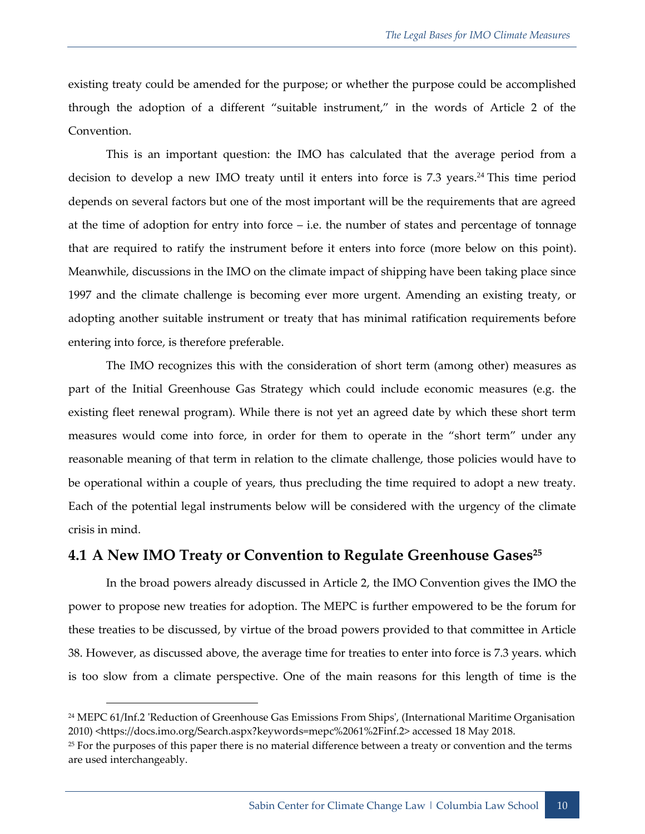existing treaty could be amended for the purpose; or whether the purpose could be accomplished through the adoption of a different "suitable instrument," in the words of Article 2 of the Convention.

This is an important question: the IMO has calculated that the average period from a decision to develop a new IMO treaty until it enters into force is 7.3 years. <sup>24</sup> This time period depends on several factors but one of the most important will be the requirements that are agreed at the time of adoption for entry into force – i.e. the number of states and percentage of tonnage that are required to ratify the instrument before it enters into force (more below on this point). Meanwhile, discussions in the IMO on the climate impact of shipping have been taking place since 1997 and the climate challenge is becoming ever more urgent. Amending an existing treaty, or adopting another suitable instrument or treaty that has minimal ratification requirements before entering into force, is therefore preferable.

The IMO recognizes this with the consideration of short term (among other) measures as part of the Initial Greenhouse Gas Strategy which could include economic measures (e.g. the existing fleet renewal program). While there is not yet an agreed date by which these short term measures would come into force, in order for them to operate in the "short term" under any reasonable meaning of that term in relation to the climate challenge, those policies would have to be operational within a couple of years, thus precluding the time required to adopt a new treaty. Each of the potential legal instruments below will be considered with the urgency of the climate crisis in mind.

## **4.1 A New IMO Treaty or Convention to Regulate Greenhouse Gases<sup>25</sup>**

In the broad powers already discussed in Article 2, the IMO Convention gives the IMO the power to propose new treaties for adoption. The MEPC is further empowered to be the forum for these treaties to be discussed, by virtue of the broad powers provided to that committee in Article 38. However, as discussed above, the average time for treaties to enter into force is 7.3 years. which is too slow from a climate perspective. One of the main reasons for this length of time is the

<sup>24</sup> MEPC 61/Inf.2 'Reduction of Greenhouse Gas Emissions From Ships', (International Maritime Organisation 2010) <https://docs.imo.org/Search.aspx?keywords=mepc%2061%2Finf.2> accessed 18 May 2018.

<sup>&</sup>lt;sup>25</sup> For the purposes of this paper there is no material difference between a treaty or convention and the terms are used interchangeably.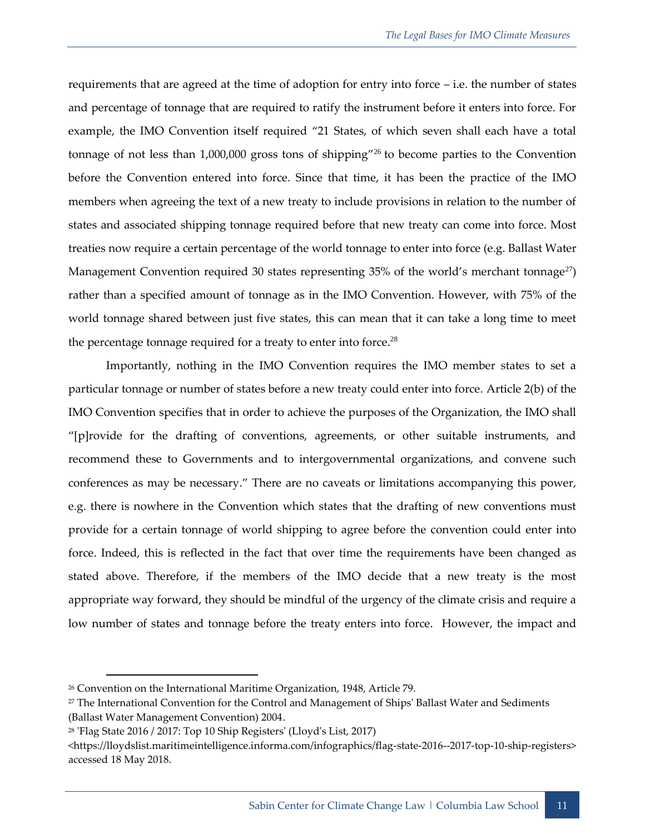requirements that are agreed at the time of adoption for entry into force – i.e. the number of states and percentage of tonnage that are required to ratify the instrument before it enters into force. For example, the IMO Convention itself required "21 States, of which seven shall each have a total tonnage of not less than 1,000,000 gross tons of shipping"<sup>26</sup> to become parties to the Convention before the Convention entered into force. Since that time, it has been the practice of the IMO members when agreeing the text of a new treaty to include provisions in relation to the number of states and associated shipping tonnage required before that new treaty can come into force. Most treaties now require a certain percentage of the world tonnage to enter into force (e.g. Ballast Water Management Convention required 30 states representing 35% of the world's merchant tonnage<sup>27</sup>) rather than a specified amount of tonnage as in the IMO Convention. However, with 75% of the world tonnage shared between just five states, this can mean that it can take a long time to meet the percentage tonnage required for a treaty to enter into force.<sup>28</sup>

Importantly, nothing in the IMO Convention requires the IMO member states to set a particular tonnage or number of states before a new treaty could enter into force. Article 2(b) of the IMO Convention specifies that in order to achieve the purposes of the Organization, the IMO shall "[p]rovide for the drafting of conventions, agreements, or other suitable instruments, and recommend these to Governments and to intergovernmental organizations, and convene such conferences as may be necessary." There are no caveats or limitations accompanying this power, e.g. there is nowhere in the Convention which states that the drafting of new conventions must provide for a certain tonnage of world shipping to agree before the convention could enter into force. Indeed, this is reflected in the fact that over time the requirements have been changed as stated above. Therefore, if the members of the IMO decide that a new treaty is the most appropriate way forward, they should be mindful of the urgency of the climate crisis and require a low number of states and tonnage before the treaty enters into force. However, the impact and

<sup>&</sup>lt;sup>26</sup> Convention on the International Maritime Organization, 1948, Article 79.

 $27$  The International Convention for the Control and Management of Ships' Ballast Water and Sediments (Ballast Water Management Convention) 2004.

<sup>28</sup> 'Flag State 2016 / 2017: Top 10 Ship Registers' (Lloyd's List, 2017)

<sup>&</sup>lt;https://lloydslist.maritimeintelligence.informa.com/infographics/flag-state-2016--2017-top-10-ship-registers> accessed 18 May 2018.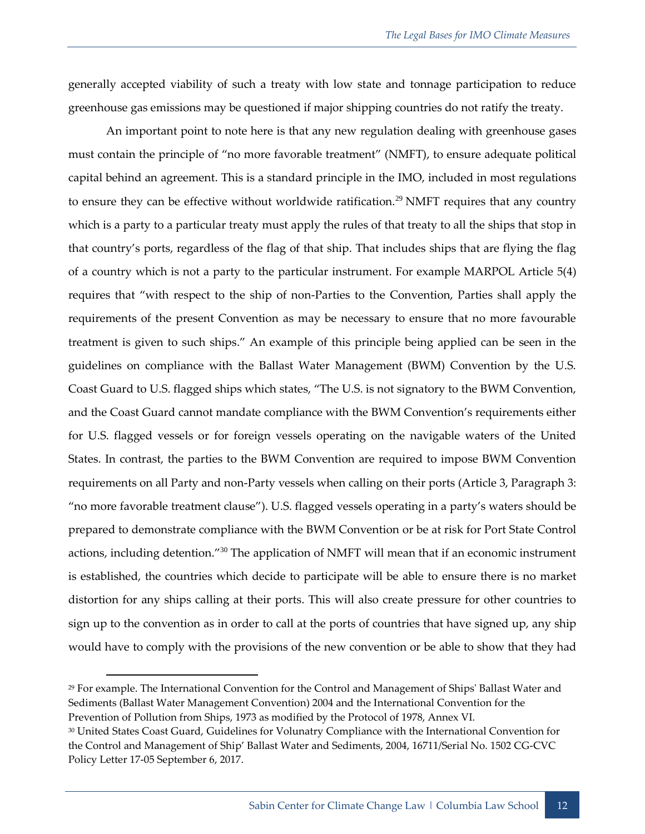generally accepted viability of such a treaty with low state and tonnage participation to reduce greenhouse gas emissions may be questioned if major shipping countries do not ratify the treaty.

An important point to note here is that any new regulation dealing with greenhouse gases must contain the principle of "no more favorable treatment" (NMFT), to ensure adequate political capital behind an agreement. This is a standard principle in the IMO, included in most regulations to ensure they can be effective without worldwide ratification.<sup>29</sup> NMFT requires that any country which is a party to a particular treaty must apply the rules of that treaty to all the ships that stop in that country's ports, regardless of the flag of that ship. That includes ships that are flying the flag of a country which is not a party to the particular instrument. For example MARPOL Article 5(4) requires that "with respect to the ship of non-Parties to the Convention, Parties shall apply the requirements of the present Convention as may be necessary to ensure that no more favourable treatment is given to such ships." An example of this principle being applied can be seen in the guidelines on compliance with the Ballast Water Management (BWM) Convention by the U.S. Coast Guard to U.S. flagged ships which states, "The U.S. is not signatory to the BWM Convention, and the Coast Guard cannot mandate compliance with the BWM Convention's requirements either for U.S. flagged vessels or for foreign vessels operating on the navigable waters of the United States. In contrast, the parties to the BWM Convention are required to impose BWM Convention requirements on all Party and non-Party vessels when calling on their ports (Article 3, Paragraph 3: "no more favorable treatment clause"). U.S. flagged vessels operating in a party's waters should be prepared to demonstrate compliance with the BWM Convention or be at risk for Port State Control actions, including detention."<sup>30</sup> The application of NMFT will mean that if an economic instrument is established, the countries which decide to participate will be able to ensure there is no market distortion for any ships calling at their ports. This will also create pressure for other countries to sign up to the convention as in order to call at the ports of countries that have signed up, any ship would have to comply with the provisions of the new convention or be able to show that they had

<sup>29</sup> For example. The International Convention for the Control and Management of Ships' Ballast Water and Sediments (Ballast Water Management Convention) 2004 and the International Convention for the Prevention of Pollution from Ships, 1973 as modified by the Protocol of 1978, Annex VI.

<sup>30</sup> United States Coast Guard, Guidelines for Volunatry Compliance with the International Convention for the Control and Management of Ship' Ballast Water and Sediments, 2004, 16711/Serial No. 1502 CG-CVC Policy Letter 17-05 September 6, 2017.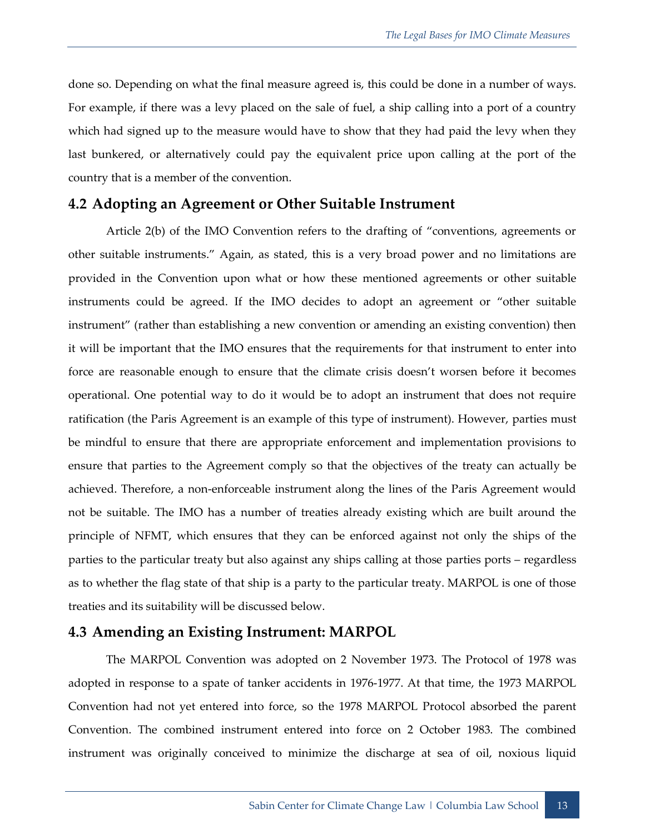done so. Depending on what the final measure agreed is, this could be done in a number of ways. For example, if there was a levy placed on the sale of fuel, a ship calling into a port of a country which had signed up to the measure would have to show that they had paid the levy when they last bunkered, or alternatively could pay the equivalent price upon calling at the port of the country that is a member of the convention.

#### **4.2 Adopting an Agreement or Other Suitable Instrument**

Article 2(b) of the IMO Convention refers to the drafting of "conventions, agreements or other suitable instruments." Again, as stated, this is a very broad power and no limitations are provided in the Convention upon what or how these mentioned agreements or other suitable instruments could be agreed. If the IMO decides to adopt an agreement or "other suitable instrument" (rather than establishing a new convention or amending an existing convention) then it will be important that the IMO ensures that the requirements for that instrument to enter into force are reasonable enough to ensure that the climate crisis doesn't worsen before it becomes operational. One potential way to do it would be to adopt an instrument that does not require ratification (the Paris Agreement is an example of this type of instrument). However, parties must be mindful to ensure that there are appropriate enforcement and implementation provisions to ensure that parties to the Agreement comply so that the objectives of the treaty can actually be achieved. Therefore, a non-enforceable instrument along the lines of the Paris Agreement would not be suitable. The IMO has a number of treaties already existing which are built around the principle of NFMT, which ensures that they can be enforced against not only the ships of the parties to the particular treaty but also against any ships calling at those parties ports – regardless as to whether the flag state of that ship is a party to the particular treaty. MARPOL is one of those treaties and its suitability will be discussed below.

## **4.3 Amending an Existing Instrument: MARPOL**

The MARPOL Convention was adopted on 2 November 1973. The Protocol of 1978 was adopted in response to a spate of tanker accidents in 1976-1977. At that time, the 1973 MARPOL Convention had not yet entered into force, so the 1978 MARPOL Protocol absorbed the parent Convention. The combined instrument entered into force on 2 October 1983. The combined instrument was originally conceived to minimize the discharge at sea of oil, noxious liquid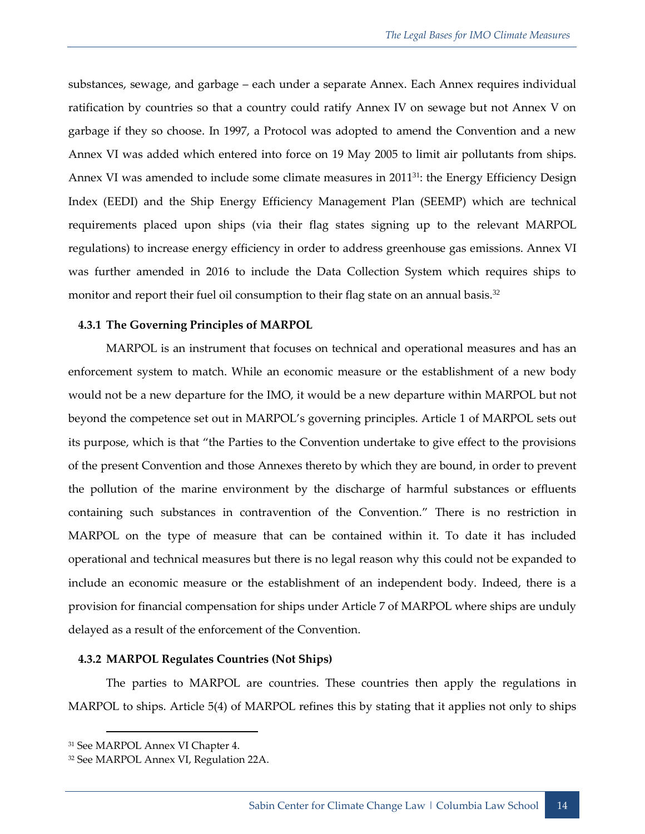substances, sewage, and garbage – each under a separate Annex. Each Annex requires individual ratification by countries so that a country could ratify Annex IV on sewage but not Annex V on garbage if they so choose. In 1997, a Protocol was adopted to amend the Convention and a new Annex VI was added which entered into force on 19 May 2005 to limit air pollutants from ships. Annex VI was amended to include some climate measures in 2011<sup>31</sup>: the Energy Efficiency Design Index (EEDI) and the Ship Energy Efficiency Management Plan (SEEMP) which are technical requirements placed upon ships (via their flag states signing up to the relevant MARPOL regulations) to increase energy efficiency in order to address greenhouse gas emissions. Annex VI was further amended in 2016 to include the Data Collection System which requires ships to monitor and report their fuel oil consumption to their flag state on an annual basis.<sup>32</sup>

#### **4.3.1 The Governing Principles of MARPOL**

MARPOL is an instrument that focuses on technical and operational measures and has an enforcement system to match. While an economic measure or the establishment of a new body would not be a new departure for the IMO, it would be a new departure within MARPOL but not beyond the competence set out in MARPOL's governing principles. Article 1 of MARPOL sets out its purpose, which is that "the Parties to the Convention undertake to give effect to the provisions of the present Convention and those Annexes thereto by which they are bound, in order to prevent the pollution of the marine environment by the discharge of harmful substances or effluents containing such substances in contravention of the Convention." There is no restriction in MARPOL on the type of measure that can be contained within it. To date it has included operational and technical measures but there is no legal reason why this could not be expanded to include an economic measure or the establishment of an independent body. Indeed, there is a provision for financial compensation for ships under Article 7 of MARPOL where ships are unduly delayed as a result of the enforcement of the Convention.

#### **4.3.2 MARPOL Regulates Countries (Not Ships)**

The parties to MARPOL are countries. These countries then apply the regulations in MARPOL to ships. Article 5(4) of MARPOL refines this by stating that it applies not only to ships

<sup>31</sup> See MARPOL Annex VI Chapter 4.

<sup>32</sup> See MARPOL Annex VI, Regulation 22A.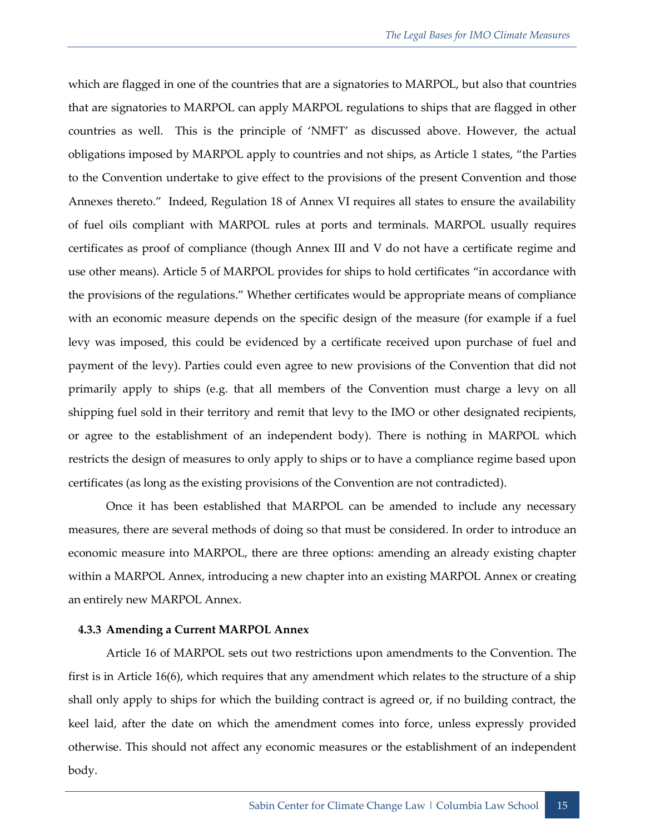which are flagged in one of the countries that are a signatories to MARPOL, but also that countries that are signatories to MARPOL can apply MARPOL regulations to ships that are flagged in other countries as well. This is the principle of 'NMFT' as discussed above. However, the actual obligations imposed by MARPOL apply to countries and not ships, as Article 1 states, "the Parties to the Convention undertake to give effect to the provisions of the present Convention and those Annexes thereto." Indeed, Regulation 18 of Annex VI requires all states to ensure the availability of fuel oils compliant with MARPOL rules at ports and terminals. MARPOL usually requires certificates as proof of compliance (though Annex III and V do not have a certificate regime and use other means). Article 5 of MARPOL provides for ships to hold certificates "in accordance with the provisions of the regulations." Whether certificates would be appropriate means of compliance with an economic measure depends on the specific design of the measure (for example if a fuel levy was imposed, this could be evidenced by a certificate received upon purchase of fuel and payment of the levy). Parties could even agree to new provisions of the Convention that did not primarily apply to ships (e.g. that all members of the Convention must charge a levy on all shipping fuel sold in their territory and remit that levy to the IMO or other designated recipients, or agree to the establishment of an independent body). There is nothing in MARPOL which restricts the design of measures to only apply to ships or to have a compliance regime based upon certificates (as long as the existing provisions of the Convention are not contradicted).

Once it has been established that MARPOL can be amended to include any necessary measures, there are several methods of doing so that must be considered. In order to introduce an economic measure into MARPOL, there are three options: amending an already existing chapter within a MARPOL Annex, introducing a new chapter into an existing MARPOL Annex or creating an entirely new MARPOL Annex.

#### <span id="page-20-0"></span>**4.3.3 Amending a Current MARPOL Annex**

Article 16 of MARPOL sets out two restrictions upon amendments to the Convention. The first is in Article 16(6), which requires that any amendment which relates to the structure of a ship shall only apply to ships for which the building contract is agreed or, if no building contract, the keel laid, after the date on which the amendment comes into force, unless expressly provided otherwise. This should not affect any economic measures or the establishment of an independent body.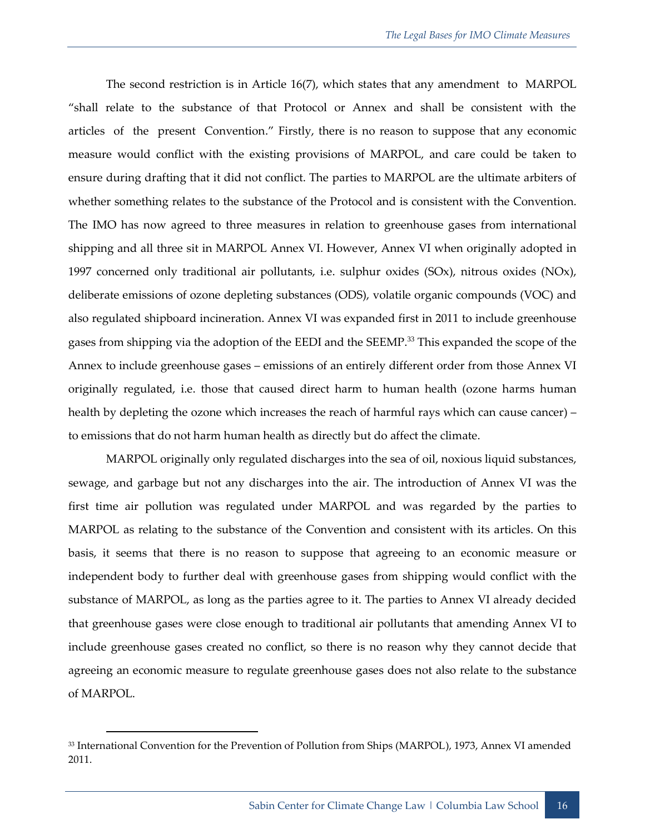The second restriction is in Article 16(7), which states that any amendment to MARPOL "shall relate to the substance of that Protocol or Annex and shall be consistent with the articles of the present Convention." Firstly, there is no reason to suppose that any economic measure would conflict with the existing provisions of MARPOL, and care could be taken to ensure during drafting that it did not conflict. The parties to MARPOL are the ultimate arbiters of whether something relates to the substance of the Protocol and is consistent with the Convention. The IMO has now agreed to three measures in relation to greenhouse gases from international shipping and all three sit in MARPOL Annex VI. However, Annex VI when originally adopted in 1997 concerned only traditional air pollutants, i.e. sulphur oxides  $(SOx)$ , nitrous oxides  $(NOx)$ , deliberate emissions of ozone depleting substances (ODS), volatile organic compounds (VOC) and also regulated shipboard incineration. Annex VI was expanded first in 2011 to include greenhouse gases from shipping via the adoption of the EEDI and the SEEMP.<sup>33</sup> This expanded the scope of the Annex to include greenhouse gases – emissions of an entirely different order from those Annex VI originally regulated, i.e. those that caused direct harm to human health (ozone harms human health by depleting the ozone which increases the reach of harmful rays which can cause cancer) – to emissions that do not harm human health as directly but do affect the climate.

MARPOL originally only regulated discharges into the sea of oil, noxious liquid substances, sewage, and garbage but not any discharges into the air. The introduction of Annex VI was the first time air pollution was regulated under MARPOL and was regarded by the parties to MARPOL as relating to the substance of the Convention and consistent with its articles. On this basis, it seems that there is no reason to suppose that agreeing to an economic measure or independent body to further deal with greenhouse gases from shipping would conflict with the substance of MARPOL, as long as the parties agree to it. The parties to Annex VI already decided that greenhouse gases were close enough to traditional air pollutants that amending Annex VI to include greenhouse gases created no conflict, so there is no reason why they cannot decide that agreeing an economic measure to regulate greenhouse gases does not also relate to the substance of MARPOL.

<sup>33</sup> International Convention for the Prevention of Pollution from Ships (MARPOL), 1973, Annex VI amended 2011.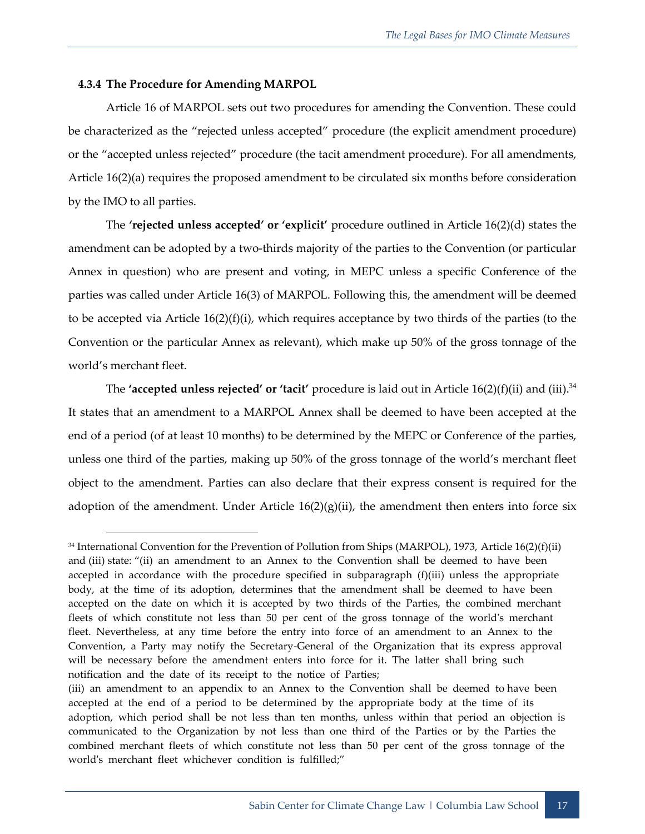#### **4.3.4 The Procedure for Amending MARPOL**

Article 16 of MARPOL sets out two procedures for amending the Convention. These could be characterized as the "rejected unless accepted" procedure (the explicit amendment procedure) or the "accepted unless rejected" procedure (the tacit amendment procedure). For all amendments, Article 16(2)(a) requires the proposed amendment to be circulated six months before consideration by the IMO to all parties.

The **'rejected unless accepted' or 'explicit'** procedure outlined in Article 16(2)(d) states the amendment can be adopted by a two-thirds majority of the parties to the Convention (or particular Annex in question) who are present and voting, in MEPC unless a specific Conference of the parties was called under Article 16(3) of MARPOL. Following this, the amendment will be deemed to be accepted via Article 16(2)(f)(i), which requires acceptance by two thirds of the parties (to the Convention or the particular Annex as relevant), which make up 50% of the gross tonnage of the world's merchant fleet.

The **'accepted unless rejected' or 'tacit'** procedure is laid out in Article 16(2)(f)(ii) and (iii). 34 It states that an amendment to a MARPOL Annex shall be deemed to have been accepted at the end of a period (of at least 10 months) to be determined by the MEPC or Conference of the parties, unless one third of the parties, making up 50% of the gross tonnage of the world's merchant fleet object to the amendment. Parties can also declare that their express consent is required for the adoption of the amendment. Under Article  $16(2)(g)(ii)$ , the amendment then enters into force six

<sup>34</sup> International Convention for the Prevention of Pollution from Ships (MARPOL), 1973, Article 16(2)(f)(ii) and (iii) state: "(ii) an amendment to an Annex to the Convention shall be deemed to have been accepted in accordance with the procedure specified in subparagraph (f)(iii) unless the appropriate body, at the time of its adoption, determines that the amendment shall be deemed to have been accepted on the date on which it is accepted by two thirds of the Parties, the combined merchant fleets of which constitute not less than 50 per cent of the gross tonnage of the world's merchant fleet. Nevertheless, at any time before the entry into force of an amendment to an Annex to the Convention, a Party may notify the Secretary-General of the Organization that its express approval will be necessary before the amendment enters into force for it. The latter shall bring such notification and the date of its receipt to the notice of Parties;

<sup>(</sup>iii) an amendment to an appendix to an Annex to the Convention shall be deemed to have been accepted at the end of a period to be determined by the appropriate body at the time of its adoption, which period shall be not less than ten months, unless within that period an objection is communicated to the Organization by not less than one third of the Parties or by the Parties the combined merchant fleets of which constitute not less than 50 per cent of the gross tonnage of the world's merchant fleet whichever condition is fulfilled;"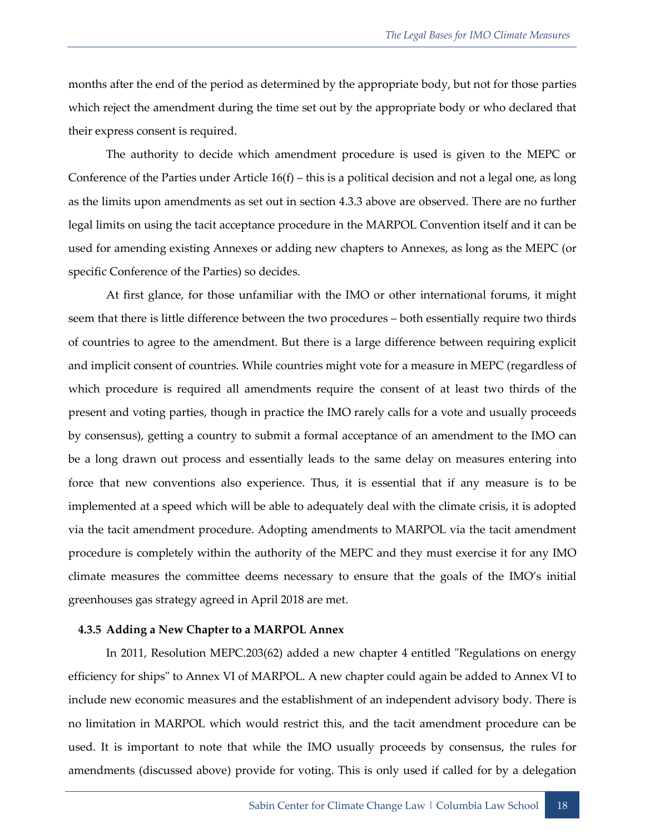months after the end of the period as determined by the appropriate body, but not for those parties which reject the amendment during the time set out by the appropriate body or who declared that their express consent is required.

The authority to decide which amendment procedure is used is given to the MEPC or Conference of the Parties under Article  $16(f)$  – this is a political decision and not a legal one, as long as the limits upon amendments as set out in section [4.3.3](#page-20-0) above are observed. There are no further legal limits on using the tacit acceptance procedure in the MARPOL Convention itself and it can be used for amending existing Annexes or adding new chapters to Annexes, as long as the MEPC (or specific Conference of the Parties) so decides.

At first glance, for those unfamiliar with the IMO or other international forums, it might seem that there is little difference between the two procedures – both essentially require two thirds of countries to agree to the amendment. But there is a large difference between requiring explicit and implicit consent of countries. While countries might vote for a measure in MEPC (regardless of which procedure is required all amendments require the consent of at least two thirds of the present and voting parties, though in practice the IMO rarely calls for a vote and usually proceeds by consensus), getting a country to submit a formal acceptance of an amendment to the IMO can be a long drawn out process and essentially leads to the same delay on measures entering into force that new conventions also experience. Thus, it is essential that if any measure is to be implemented at a speed which will be able to adequately deal with the climate crisis, it is adopted via the tacit amendment procedure. Adopting amendments to MARPOL via the tacit amendment procedure is completely within the authority of the MEPC and they must exercise it for any IMO climate measures the committee deems necessary to ensure that the goals of the IMO's initial greenhouses gas strategy agreed in April 2018 are met.

#### **4.3.5 Adding a New Chapter to a MARPOL Annex**

In 2011, Resolution MEPC.203(62) added a new chapter 4 entitled "Regulations on energy efficiency for ships" to Annex VI of MARPOL. A new chapter could again be added to Annex VI to include new economic measures and the establishment of an independent advisory body. There is no limitation in MARPOL which would restrict this, and the tacit amendment procedure can be used. It is important to note that while the IMO usually proceeds by consensus, the rules for amendments (discussed above) provide for voting. This is only used if called for by a delegation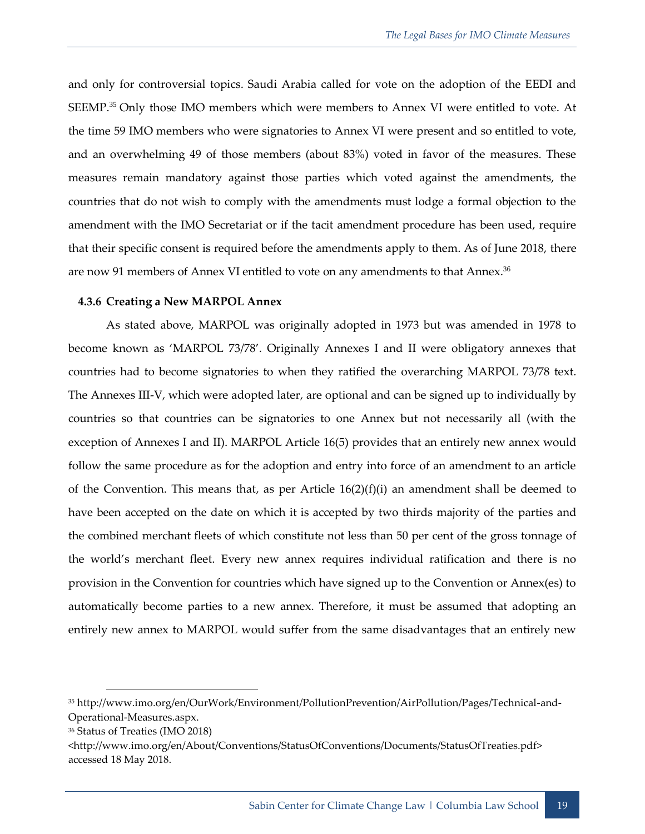and only for controversial topics. Saudi Arabia called for vote on the adoption of the EEDI and SEEMP.<sup>35</sup> Only those IMO members which were members to Annex VI were entitled to vote. At the time 59 IMO members who were signatories to Annex VI were present and so entitled to vote, and an overwhelming 49 of those members (about 83%) voted in favor of the measures. These measures remain mandatory against those parties which voted against the amendments, the countries that do not wish to comply with the amendments must lodge a formal objection to the amendment with the IMO Secretariat or if the tacit amendment procedure has been used, require that their specific consent is required before the amendments apply to them. As of June 2018, there are now 91 members of Annex VI entitled to vote on any amendments to that Annex.<sup>36</sup>

#### **4.3.6 Creating a New MARPOL Annex**

As stated above, MARPOL was originally adopted in 1973 but was amended in 1978 to become known as 'MARPOL 73/78'. Originally Annexes I and II were obligatory annexes that countries had to become signatories to when they ratified the overarching MARPOL 73/78 text. The Annexes III-V, which were adopted later, are optional and can be signed up to individually by countries so that countries can be signatories to one Annex but not necessarily all (with the exception of Annexes I and II). MARPOL Article 16(5) provides that an entirely new annex would follow the same procedure as for the adoption and entry into force of an amendment to an article of the Convention. This means that, as per Article  $16(2)(f)(i)$  an amendment shall be deemed to have been accepted on the date on which it is accepted by two thirds majority of the parties and the combined merchant fleets of which constitute not less than 50 per cent of the gross tonnage of the world's merchant fleet. Every new annex requires individual ratification and there is no provision in the Convention for countries which have signed up to the Convention or Annex(es) to automatically become parties to a new annex. Therefore, it must be assumed that adopting an entirely new annex to MARPOL would suffer from the same disadvantages that an entirely new

<sup>35</sup> http://www.imo.org/en/OurWork/Environment/PollutionPrevention/AirPollution/Pages/Technical-and-Operational-Measures.aspx.

<sup>36</sup> Status of Treaties (IMO 2018)

[<sup>&</sup>lt;http://www.imo.org/en/About/Conventions/StatusOfConventions/Documents/StatusOfTreaties.pdf>](http://www.imo.org/en/About/Conventions/StatusOfConventions/Documents/StatusOfTreaties.pdf) accessed 18 May 2018.